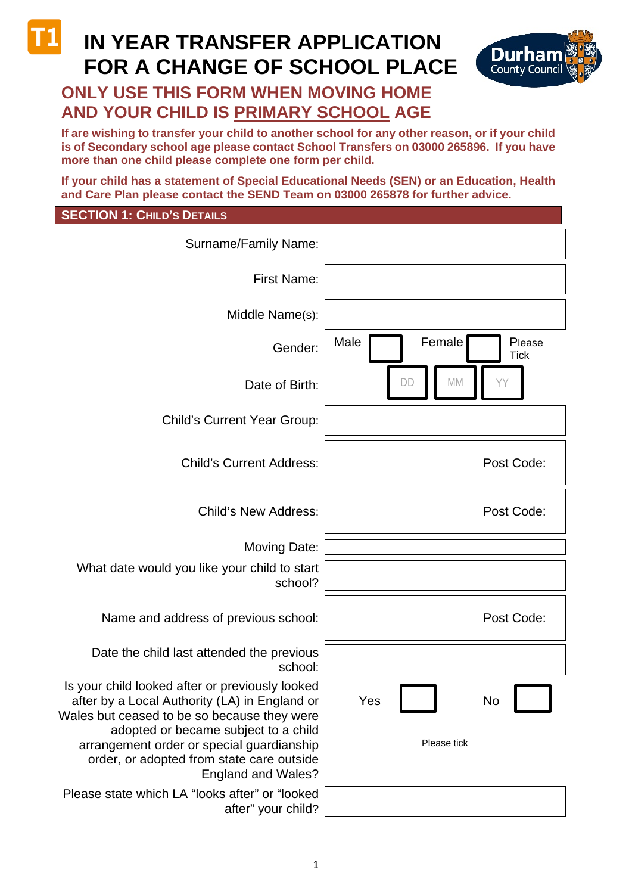# **IN YEAR TRANSFER APPLICATION FOR A CHANGE OF SCHOOL PLACE**



## **ONLY USE THIS FORM WHEN MOVING HOME AND YOUR CHILD IS PRIMARY SCHOOL AGE**

**If are wishing to transfer your child to another school for any other reason, or if your child is of Secondary school age please contact School Transfers on 03000 265896. If you have more than one child please complete one form per child.**

**If your child has a statement of Special Educational Needs (SEN) or an Education, Health and Care Plan please contact the SEND Team on 03000 265878 for further advice.**

### **SECTION 1: CHILD'S DETAILS**

| Surname/Family Name:                                                                                                                                                                                                                                                                                           |                                         |
|----------------------------------------------------------------------------------------------------------------------------------------------------------------------------------------------------------------------------------------------------------------------------------------------------------------|-----------------------------------------|
| First Name:                                                                                                                                                                                                                                                                                                    |                                         |
| Middle Name(s):                                                                                                                                                                                                                                                                                                |                                         |
| Gender:                                                                                                                                                                                                                                                                                                        | Male<br>Female<br>Please<br><b>Tick</b> |
| Date of Birth:                                                                                                                                                                                                                                                                                                 | MM                                      |
| <b>Child's Current Year Group:</b>                                                                                                                                                                                                                                                                             |                                         |
| <b>Child's Current Address:</b>                                                                                                                                                                                                                                                                                | Post Code:                              |
| <b>Child's New Address:</b>                                                                                                                                                                                                                                                                                    | Post Code:                              |
| <b>Moving Date:</b>                                                                                                                                                                                                                                                                                            |                                         |
| What date would you like your child to start<br>school?                                                                                                                                                                                                                                                        |                                         |
| Name and address of previous school:                                                                                                                                                                                                                                                                           | Post Code:                              |
| Date the child last attended the previous<br>school:                                                                                                                                                                                                                                                           |                                         |
| Is your child looked after or previously looked<br>after by a Local Authority (LA) in England or<br>Wales but ceased to be so because they were<br>adopted or became subject to a child<br>arrangement order or special guardianship<br>order, or adopted from state care outside<br><b>England and Wales?</b> | <b>No</b><br>Yes<br>Please tick         |
| Please state which LA "looks after" or "looked<br>after" your child?                                                                                                                                                                                                                                           |                                         |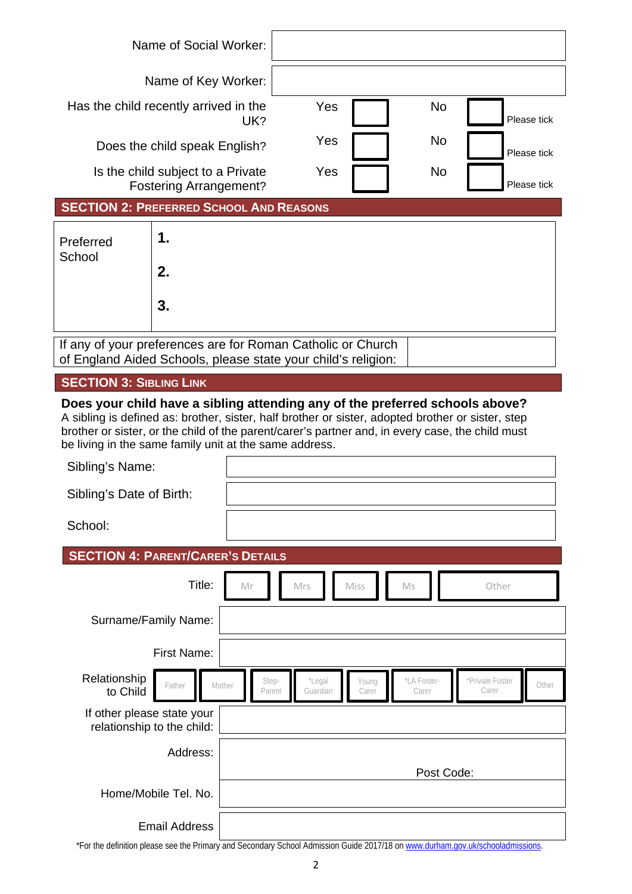|                                                                                                                              | Name of Social Worker: |     |           |             |
|------------------------------------------------------------------------------------------------------------------------------|------------------------|-----|-----------|-------------|
| Name of Key Worker:                                                                                                          |                        |     |           |             |
| Has the child recently arrived in the<br>UK?                                                                                 |                        | Yes | <b>No</b> | Please tick |
| Does the child speak English?                                                                                                |                        | Yes | <b>No</b> | Please tick |
| Is the child subject to a Private<br><b>Fostering Arrangement?</b>                                                           |                        | Yes | <b>No</b> | Please tick |
| <b>SECTION 2: PREFERRED SCHOOL AND REASONS</b>                                                                               |                        |     |           |             |
| Preferred                                                                                                                    | 1.                     |     |           |             |
| School                                                                                                                       | 2.                     |     |           |             |
|                                                                                                                              | 3.                     |     |           |             |
| If any of your preferences are for Roman Catholic or Church<br>of England Aided Schools, please state your child's religion: |                        |     |           |             |

**SECTION 3: SIBLING LINK** 

**Does your child have a sibling attending any of the preferred schools above?** A sibling is defined as: brother, sister, half brother or sister, adopted brother or sister, step brother or sister, or the child of the parent/carer's partner and, in every case, the child must be living in the same family unit at the same address.

| Sibling's Name:                                          |        |                 |                    |                |                      |                          |       |
|----------------------------------------------------------|--------|-----------------|--------------------|----------------|----------------------|--------------------------|-------|
| Sibling's Date of Birth:                                 |        |                 |                    |                |                      |                          |       |
| School:                                                  |        |                 |                    |                |                      |                          |       |
| <b>SECTION 4: PARENT/CARER'S DETAILS</b>                 |        |                 |                    |                |                      |                          |       |
|                                                          | Title: | Mr              | Mrs                | Miss           | Ms                   | Other                    |       |
| Surname/Family Name:                                     |        |                 |                    |                |                      |                          |       |
| First Name:                                              |        |                 |                    |                |                      |                          |       |
| Relationship<br>Father<br>to Child                       | Mother | Step-<br>Parent | *Legal<br>Guardian | Young<br>Carer | *LA Foster-<br>Carer | *Private Foster<br>Carer | Other |
| If other please state your<br>relationship to the child: |        |                 |                    |                |                      |                          |       |
| Address:                                                 |        |                 |                    |                |                      |                          |       |
|                                                          |        |                 |                    |                | Post Code:           |                          |       |
| Home/Mobile Tel. No.                                     |        |                 |                    |                |                      |                          |       |
| <b>Email Address</b>                                     |        |                 |                    |                |                      |                          |       |

\*For the definition please see the Primary and Secondary School Admission Guide 2017/18 o[n www.durham.gov.uk/schooladmissions.](http://www.durham.gov.uk/schooladmissions)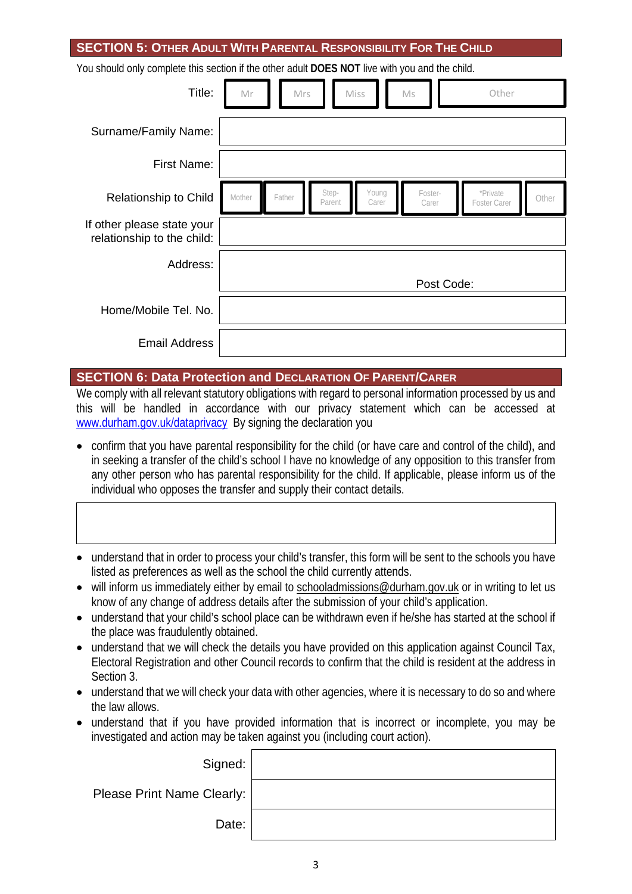#### **SECTION 5: OTHER ADULT WITH PARENTAL RESPONSIBILITY FOR THE CHILD**

You should only complete this section if the other adult **DOES NOT** live with you and the child.

| Title:                                                   | Mr               | Mrs             | Miss           | Ms               | Other                    |       |
|----------------------------------------------------------|------------------|-----------------|----------------|------------------|--------------------------|-------|
| Surname/Family Name:                                     |                  |                 |                |                  |                          |       |
| <b>First Name:</b>                                       |                  |                 |                |                  |                          |       |
| Relationship to Child                                    | Mother<br>Father | Step-<br>Parent | Young<br>Carer | Foster-<br>Carer | *Private<br>Foster Carer | Other |
| If other please state your<br>relationship to the child: |                  |                 |                |                  |                          |       |
| Address:                                                 |                  |                 |                |                  |                          |       |
|                                                          |                  |                 |                | Post Code:       |                          |       |
| Home/Mobile Tel. No.                                     |                  |                 |                |                  |                          |       |
| <b>Email Address</b>                                     |                  |                 |                |                  |                          |       |

#### **SECTION 6: Data Protection and DECLARATION OF PARENT/CARER**

We comply with all relevant statutory obligations with regard to personal information processed by us and this will be handled in accordance with our privacy statement which can be accessed at [www.durham.gov.uk/dataprivacy](http://www.durham.gov.uk/dataprivacy) By signing the declaration you

- confirm that you have parental responsibility for the child (or have care and control of the child), and in seeking a transfer of the child's school I have no knowledge of any opposition to this transfer from any other person who has parental responsibility for the child. If applicable, please inform us of the individual who opposes the transfer and supply their contact details.
- understand that in order to process your child's transfer, this form will be sent to the schools you have listed as preferences as well as the school the child currently attends.
- will inform us immediately either by email to [schooladmissions@durham.gov.uk](mailto:schooladmissions@durham.gov.uk) or in writing to let us know of any change of address details after the submission of your child's application.
- understand that your child's school place can be withdrawn even if he/she has started at the school if the place was fraudulently obtained.
- understand that we will check the details you have provided on this application against Council Tax, Electoral Registration and other Council records to confirm that the child is resident at the address in Section 3.
- understand that we will check your data with other agencies, where it is necessary to do so and where the law allows.
- understand that if you have provided information that is incorrect or incomplete, you may be investigated and action may be taken against you (including court action).

| Signed:                    |  |
|----------------------------|--|
| Please Print Name Clearly: |  |
| Date:                      |  |